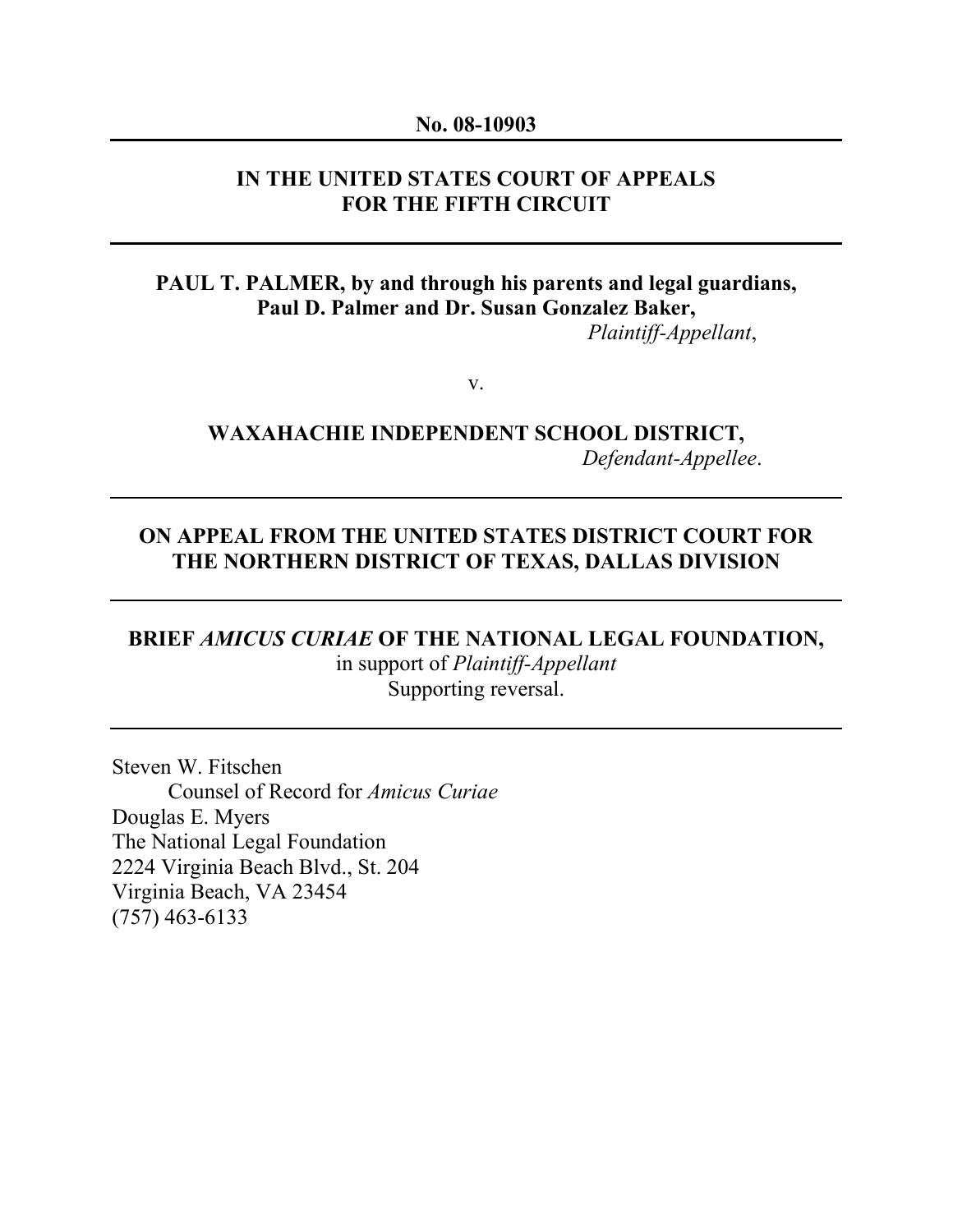#### No. 08-10903

## IN THE UNITED STATES COURT OF APPEALS FOR THE FIFTH CIRCUIT

## PAUL T. PALMER, by and through his parents and legal guardians, Paul D. Palmer and Dr. Susan Gonzalez Baker, *Plaintiff-Appellant*,

v.

# WAXAHACHIE INDEPENDENT SCHOOL DISTRICT, *Defendant-Appellee*.

## ON APPEAL FROM THE UNITED STATES DISTRICT COURT FOR THE NORTHERN DISTRICT OF TEXAS, DALLAS DIVISION

## BRIEF AMICUS CURIAE OF THE NATIONAL LEGAL FOUNDATION, in support of *Plaintiff-Appellant* Supporting reversal.

Steven W. Fitschen Counsel of Record for *Amicus Curiae* Douglas E. Myers The National Legal Foundation 2224 Virginia Beach Blvd., St. 204 Virginia Beach, VA 23454 (757) 463-6133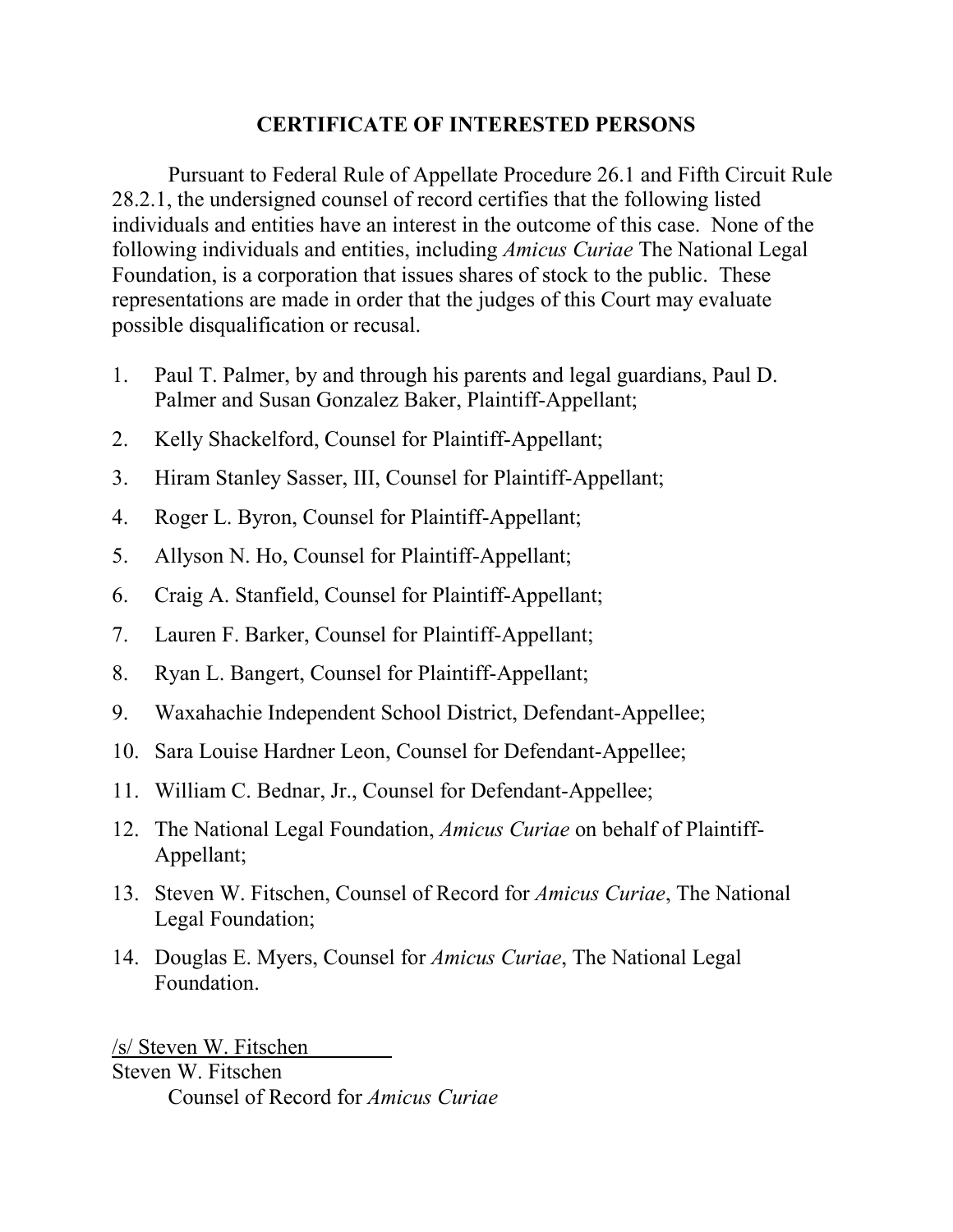# CERTIFICATE OF INTERESTED PERSONS

 Pursuant to Federal Rule of Appellate Procedure 26.1 and Fifth Circuit Rule 28.2.1, the undersigned counsel of record certifies that the following listed individuals and entities have an interest in the outcome of this case. None of the following individuals and entities, including *Amicus Curiae* The National Legal Foundation, is a corporation that issues shares of stock to the public. These representations are made in order that the judges of this Court may evaluate possible disqualification or recusal.

- 1. Paul T. Palmer, by and through his parents and legal guardians, Paul D. Palmer and Susan Gonzalez Baker, Plaintiff-Appellant;
- 2. Kelly Shackelford, Counsel for Plaintiff-Appellant;
- 3. Hiram Stanley Sasser, III, Counsel for Plaintiff-Appellant;
- 4. Roger L. Byron, Counsel for Plaintiff-Appellant;
- 5. Allyson N. Ho, Counsel for Plaintiff-Appellant;
- 6. Craig A. Stanfield, Counsel for Plaintiff-Appellant;
- 7. Lauren F. Barker, Counsel for Plaintiff-Appellant;
- 8. Ryan L. Bangert, Counsel for Plaintiff-Appellant;
- 9. Waxahachie Independent School District, Defendant-Appellee;
- 10. Sara Louise Hardner Leon, Counsel for Defendant-Appellee;
- 11. William C. Bednar, Jr., Counsel for Defendant-Appellee;
- 12. The National Legal Foundation, *Amicus Curiae* on behalf of Plaintiff-Appellant;
- 13. Steven W. Fitschen, Counsel of Record for *Amicus Curiae*, The National Legal Foundation;
- 14. Douglas E. Myers, Counsel for *Amicus Curiae*, The National Legal Foundation.

/s/ Steven W. Fitschen Steven W. Fitschen Counsel of Record for *Amicus Curiae*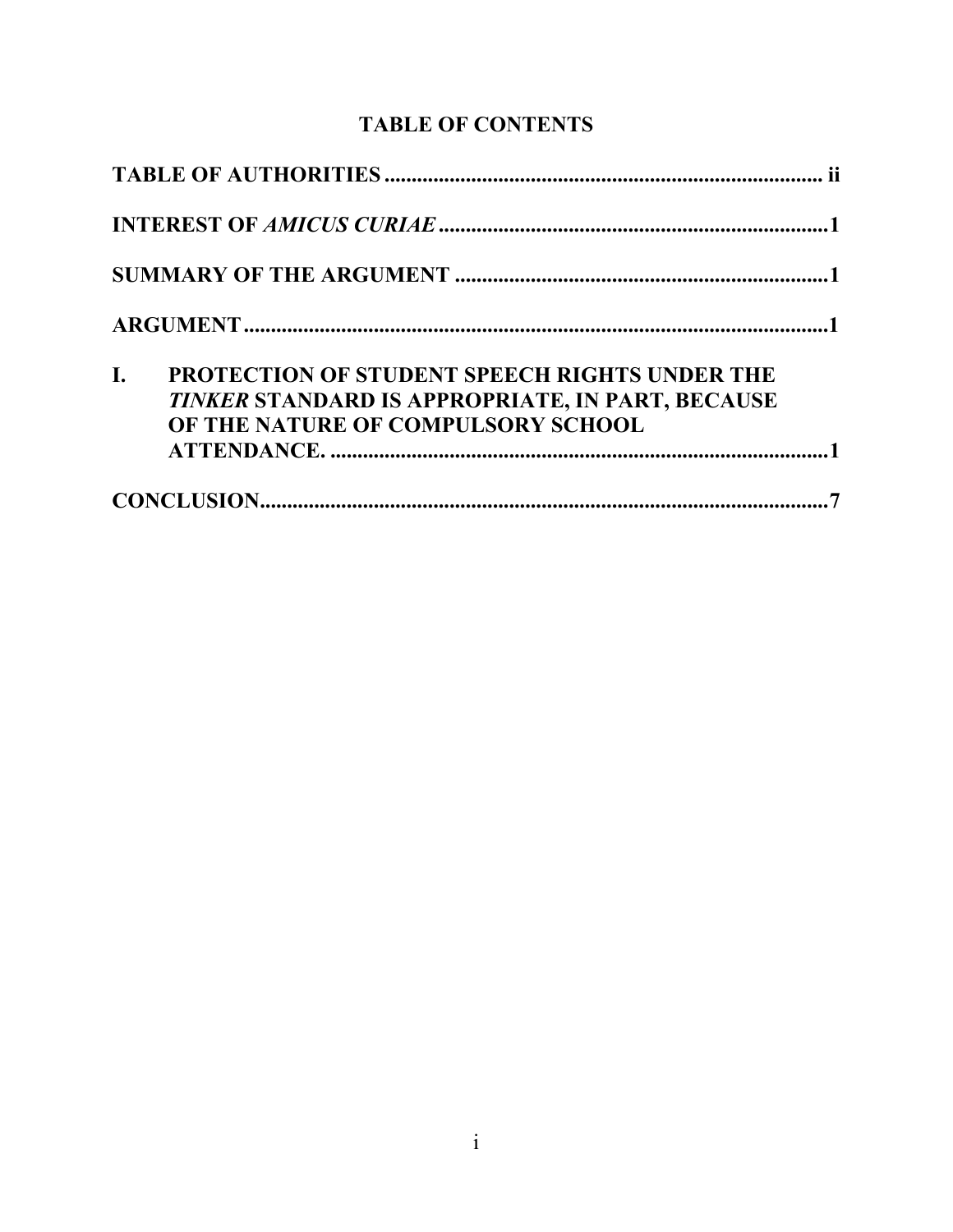# **TABLE OF CONTENTS**

| I. | PROTECTION OF STUDENT SPEECH RIGHTS UNDER THE<br>TINKER STANDARD IS APPROPRIATE, IN PART, BECAUSE<br>OF THE NATURE OF COMPULSORY SCHOOL |  |
|----|-----------------------------------------------------------------------------------------------------------------------------------------|--|
|    |                                                                                                                                         |  |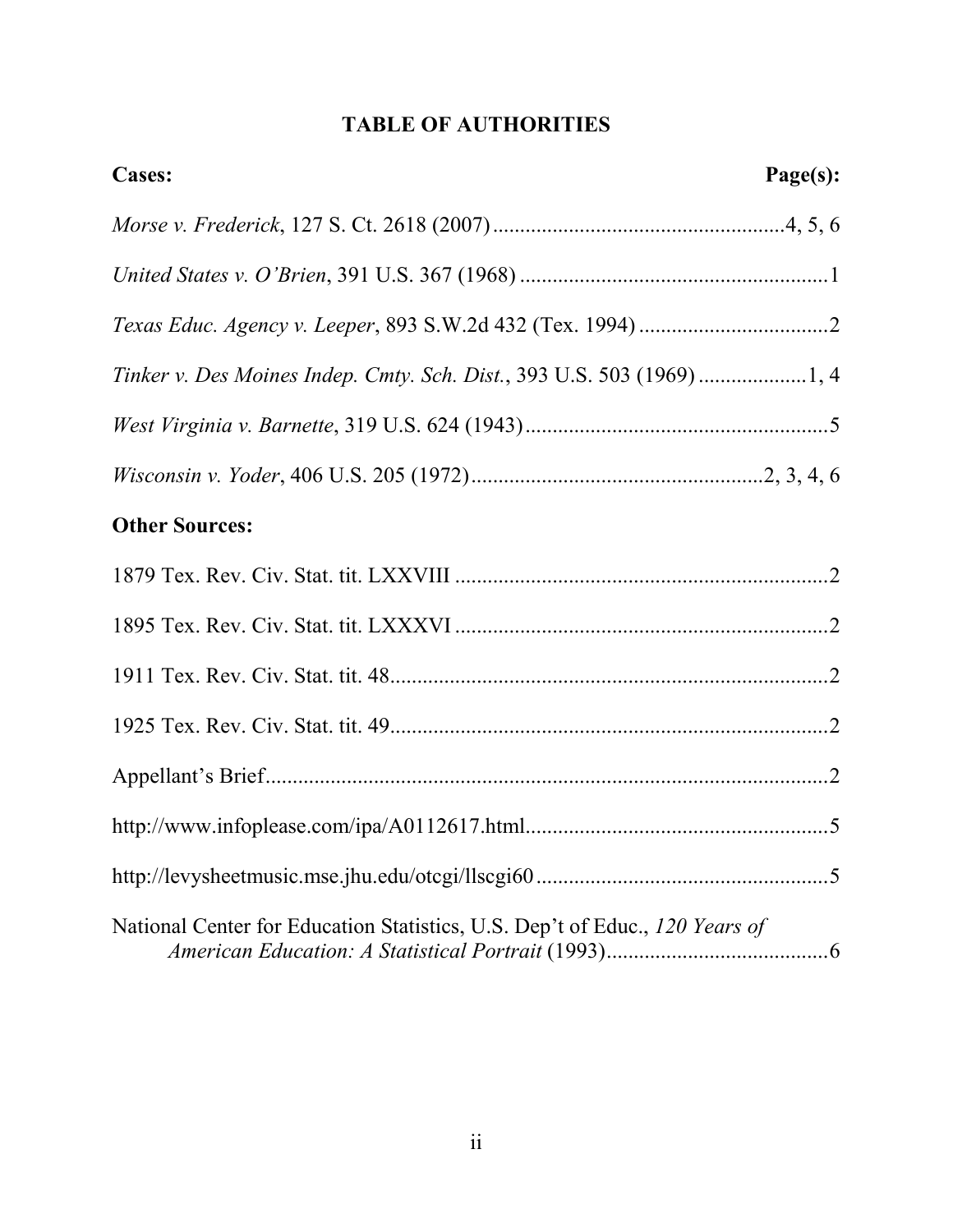# TABLE OF AUTHORITIES

| <b>Cases:</b>                                                               | Page(s): |
|-----------------------------------------------------------------------------|----------|
|                                                                             |          |
|                                                                             |          |
|                                                                             |          |
| Tinker v. Des Moines Indep. Cmty. Sch. Dist., 393 U.S. 503 (1969) 1, 4      |          |
|                                                                             |          |
|                                                                             |          |
| <b>Other Sources:</b>                                                       |          |
|                                                                             |          |
|                                                                             |          |
|                                                                             |          |
|                                                                             |          |
|                                                                             |          |
|                                                                             |          |
|                                                                             |          |
| National Center for Education Statistics, U.S. Dep't of Educ., 120 Years of |          |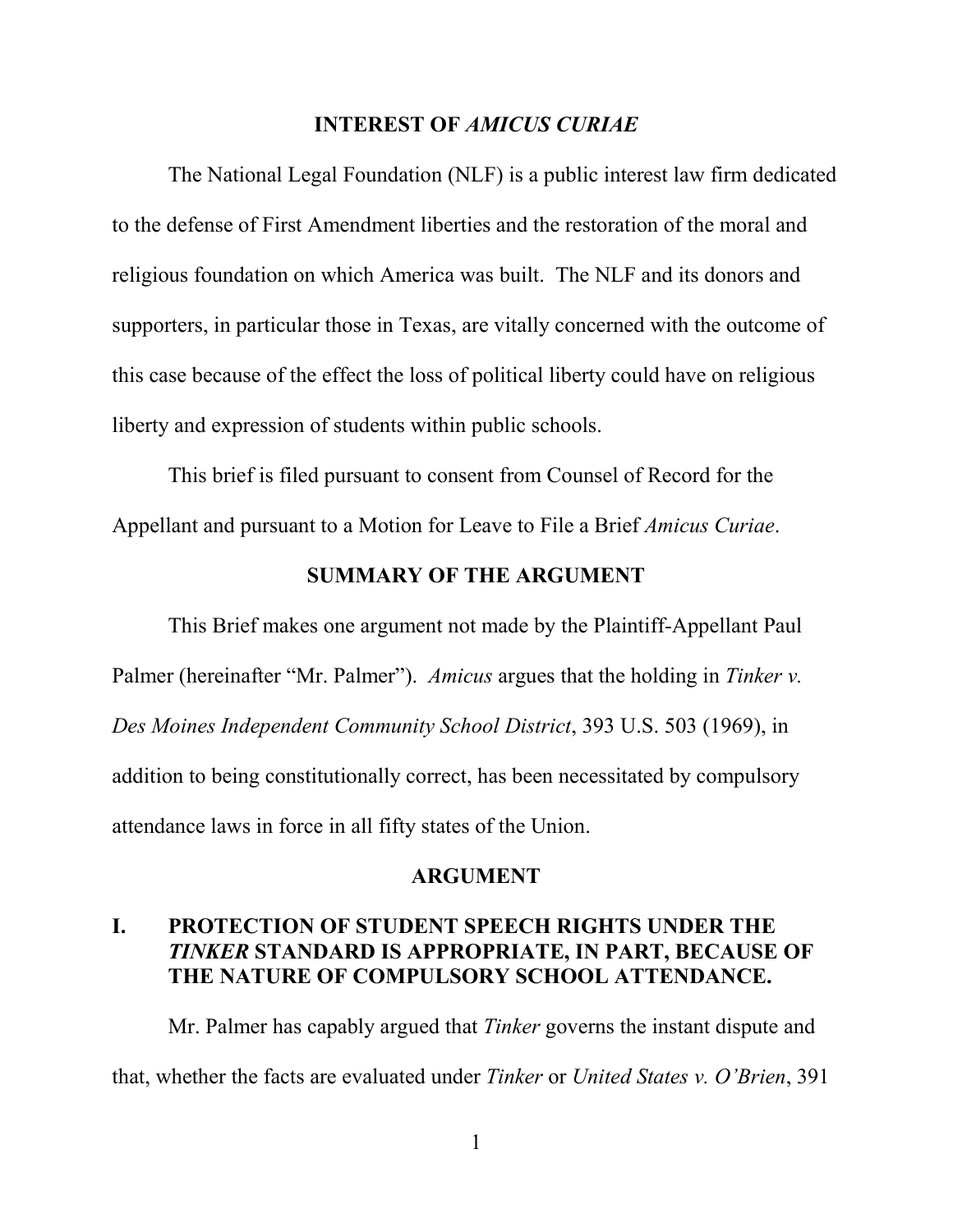#### INTEREST OF AMICUS CURIAE

The National Legal Foundation (NLF) is a public interest law firm dedicated to the defense of First Amendment liberties and the restoration of the moral and religious foundation on which America was built. The NLF and its donors and supporters, in particular those in Texas, are vitally concerned with the outcome of this case because of the effect the loss of political liberty could have on religious liberty and expression of students within public schools.

This brief is filed pursuant to consent from Counsel of Record for the Appellant and pursuant to a Motion for Leave to File a Brief *Amicus Curiae*.

### SUMMARY OF THE ARGUMENT

This Brief makes one argument not made by the Plaintiff-Appellant Paul Palmer (hereinafter "Mr. Palmer"). *Amicus* argues that the holding in *Tinker v. Des Moines Independent Community School District*, 393 U.S. 503 (1969), in addition to being constitutionally correct, has been necessitated by compulsory attendance laws in force in all fifty states of the Union.

#### ARGUMENT

## I. PROTECTION OF STUDENT SPEECH RIGHTS UNDER THE TINKER STANDARD IS APPROPRIATE, IN PART, BECAUSE OF THE NATURE OF COMPULSORY SCHOOL ATTENDANCE.

Mr. Palmer has capably argued that *Tinker* governs the instant dispute and that, whether the facts are evaluated under *Tinker* or *United States v. O'Brien*, 391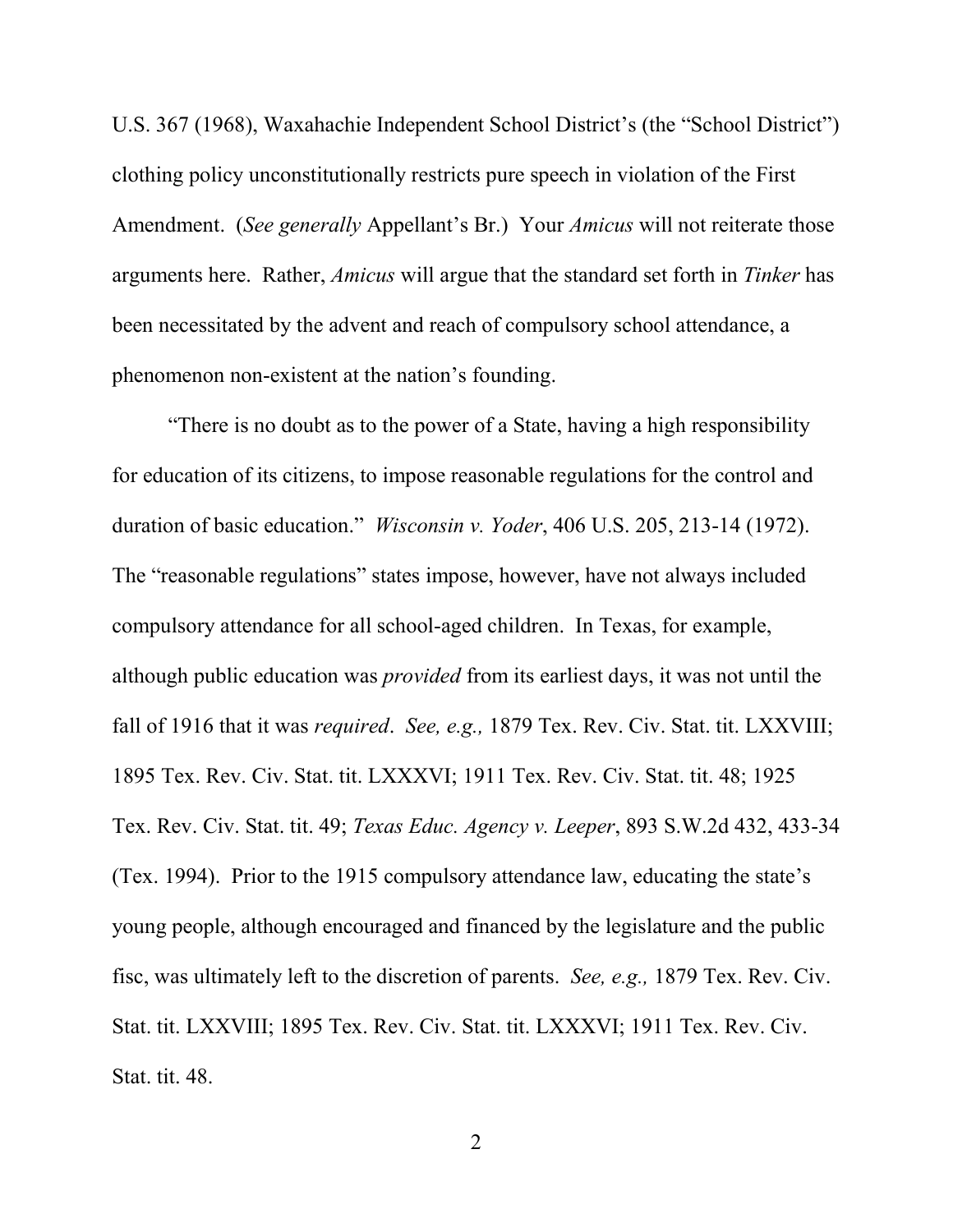U.S. 367 (1968), Waxahachie Independent School District's (the "School District") clothing policy unconstitutionally restricts pure speech in violation of the First Amendment. (*See generally* Appellant's Br.) Your *Amicus* will not reiterate those arguments here. Rather, *Amicus* will argue that the standard set forth in *Tinker* has been necessitated by the advent and reach of compulsory school attendance, a phenomenon non-existent at the nation's founding.

"There is no doubt as to the power of a State, having a high responsibility for education of its citizens, to impose reasonable regulations for the control and duration of basic education." *Wisconsin v. Yoder*, 406 U.S. 205, 213-14 (1972). The "reasonable regulations" states impose, however, have not always included compulsory attendance for all school-aged children. In Texas, for example, although public education was *provided* from its earliest days, it was not until the fall of 1916 that it was *required*. *See, e.g.,* 1879 Tex. Rev. Civ. Stat. tit. LXXVIII; 1895 Tex. Rev. Civ. Stat. tit. LXXXVI; 1911 Tex. Rev. Civ. Stat. tit. 48; 1925 Tex. Rev. Civ. Stat. tit. 49; *Texas Educ. Agency v. Leeper*, 893 S.W.2d 432, 433-34 (Tex. 1994). Prior to the 1915 compulsory attendance law, educating the state's young people, although encouraged and financed by the legislature and the public fisc, was ultimately left to the discretion of parents. *See, e.g.,* 1879 Tex. Rev. Civ. Stat. tit. LXXVIII; 1895 Tex. Rev. Civ. Stat. tit. LXXXVI; 1911 Tex. Rev. Civ. Stat. tit. 48.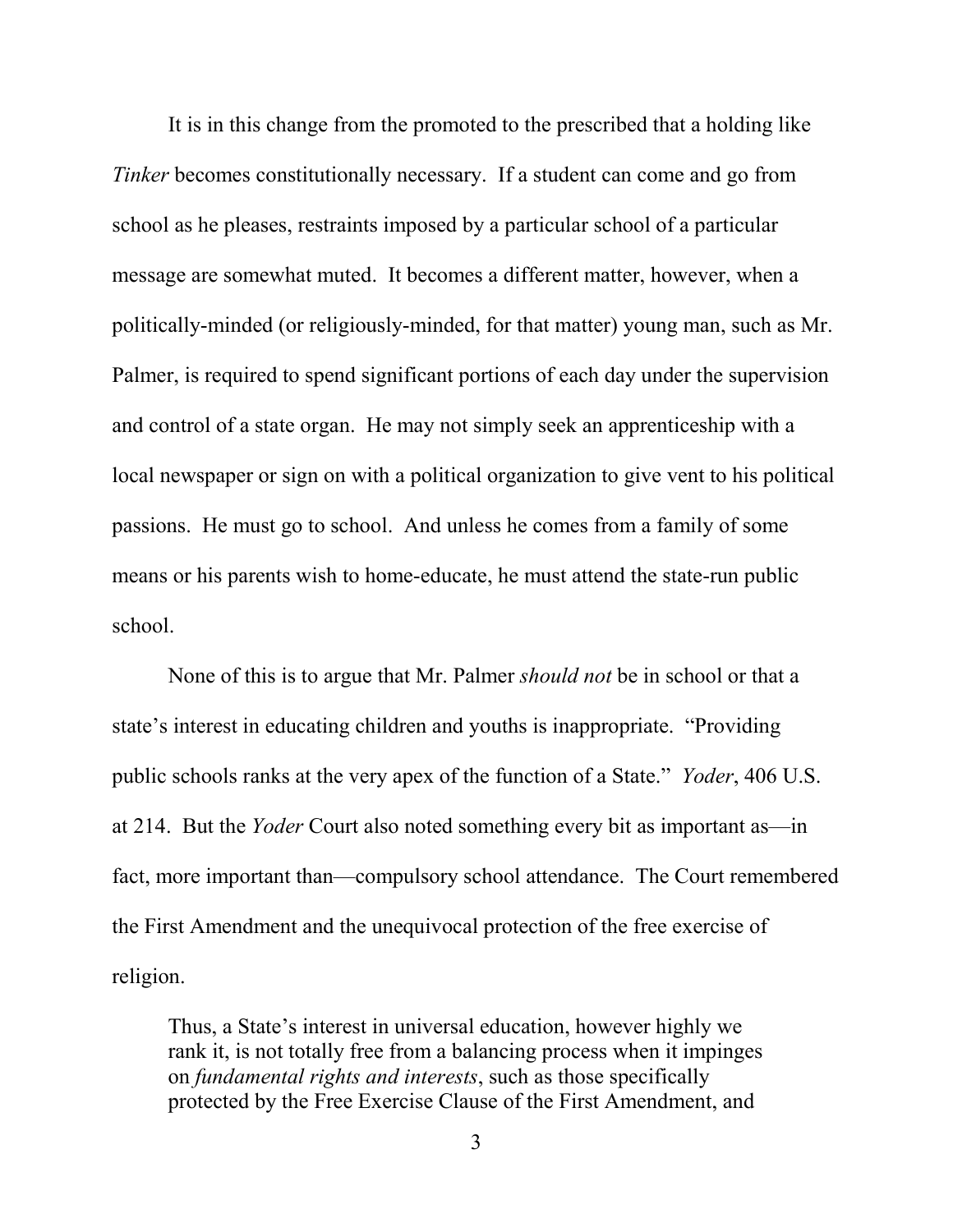It is in this change from the promoted to the prescribed that a holding like *Tinker* becomes constitutionally necessary. If a student can come and go from school as he pleases, restraints imposed by a particular school of a particular message are somewhat muted. It becomes a different matter, however, when a politically-minded (or religiously-minded, for that matter) young man, such as Mr. Palmer, is required to spend significant portions of each day under the supervision and control of a state organ. He may not simply seek an apprenticeship with a local newspaper or sign on with a political organization to give vent to his political passions. He must go to school. And unless he comes from a family of some means or his parents wish to home-educate, he must attend the state-run public school.

None of this is to argue that Mr. Palmer *should not* be in school or that a state's interest in educating children and youths is inappropriate. "Providing public schools ranks at the very apex of the function of a State." *Yoder*, 406 U.S. at 214. But the *Yoder* Court also noted something every bit as important as—in fact, more important than—compulsory school attendance. The Court remembered the First Amendment and the unequivocal protection of the free exercise of religion.

Thus, a State's interest in universal education, however highly we rank it, is not totally free from a balancing process when it impinges on *fundamental rights and interests*, such as those specifically protected by the Free Exercise Clause of the First Amendment, and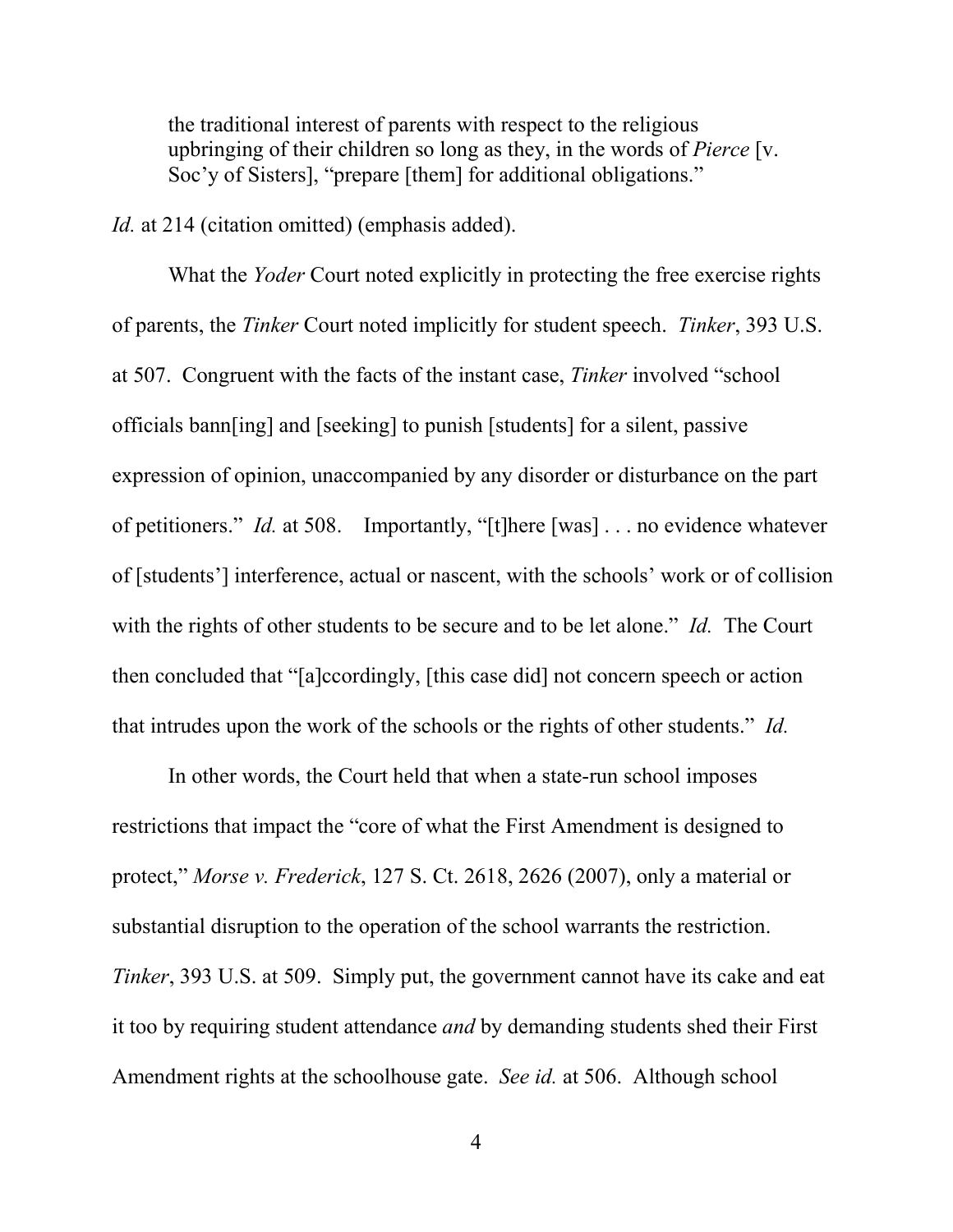the traditional interest of parents with respect to the religious upbringing of their children so long as they, in the words of *Pierce* [v. Soc'y of Sisters], "prepare [them] for additional obligations."

*Id.* at 214 (citation omitted) (emphasis added).

 What the *Yoder* Court noted explicitly in protecting the free exercise rights of parents, the *Tinker* Court noted implicitly for student speech. *Tinker*, 393 U.S. at 507. Congruent with the facts of the instant case, *Tinker* involved "school officials bann[ing] and [seeking] to punish [students] for a silent, passive expression of opinion, unaccompanied by any disorder or disturbance on the part of petitioners." *Id.* at 508. Importantly, "[t]here [was] . . . no evidence whatever of [students'] interference, actual or nascent, with the schools' work or of collision with the rights of other students to be secure and to be let alone." *Id.* The Court then concluded that "[a]ccordingly, [this case did] not concern speech or action that intrudes upon the work of the schools or the rights of other students." *Id.*

 In other words, the Court held that when a state-run school imposes restrictions that impact the "core of what the First Amendment is designed to protect," *Morse v. Frederick*, 127 S. Ct. 2618, 2626 (2007), only a material or substantial disruption to the operation of the school warrants the restriction. *Tinker*, 393 U.S. at 509. Simply put, the government cannot have its cake and eat it too by requiring student attendance *and* by demanding students shed their First Amendment rights at the schoolhouse gate. *See id.* at 506. Although school

4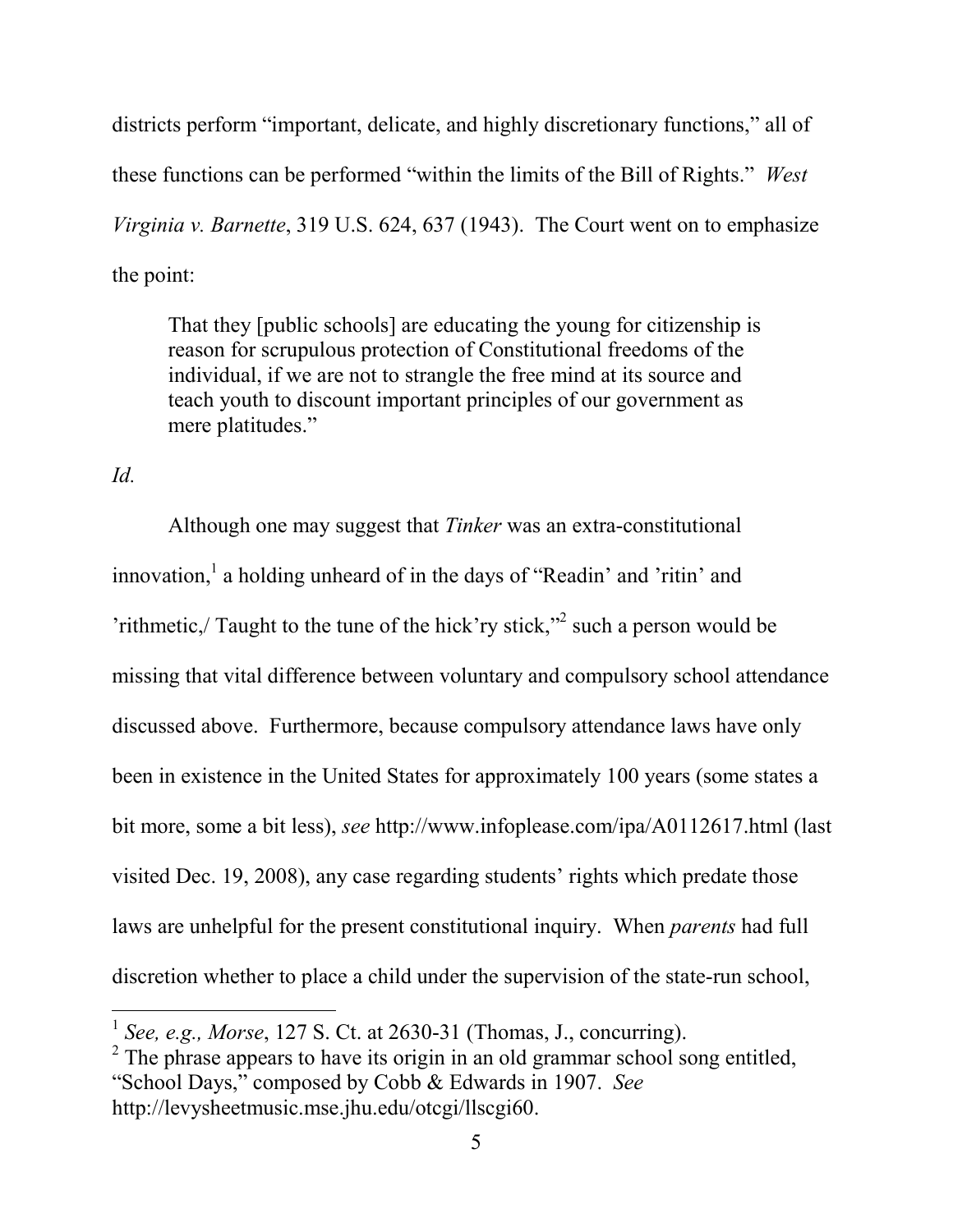districts perform "important, delicate, and highly discretionary functions," all of these functions can be performed "within the limits of the Bill of Rights." *West Virginia v. Barnette*, 319 U.S. 624, 637 (1943). The Court went on to emphasize the point:

That they [public schools] are educating the young for citizenship is reason for scrupulous protection of Constitutional freedoms of the individual, if we are not to strangle the free mind at its source and teach youth to discount important principles of our government as mere platitudes."

*Id.* 

<u>.</u>

Although one may suggest that *Tinker* was an extra-constitutional innovation,<sup>1</sup> a holding unheard of in the days of "Readin' and 'ritin' and 'rithmetic, $/$  Taught to the tune of the hick'ry stick,"<sup>2</sup> such a person would be missing that vital difference between voluntary and compulsory school attendance discussed above. Furthermore, because compulsory attendance laws have only been in existence in the United States for approximately 100 years (some states a bit more, some a bit less), *see* http://www.infoplease.com/ipa/A0112617.html (last visited Dec. 19, 2008), any case regarding students' rights which predate those laws are unhelpful for the present constitutional inquiry. When *parents* had full discretion whether to place a child under the supervision of the state-run school,

 $2^2$  The phrase appears to have its origin in an old grammar school song entitled, "School Days," composed by Cobb & Edwards in 1907. *See* http://levysheetmusic.mse.jhu.edu/otcgi/llscgi60.

<sup>1</sup> *See, e.g., Morse*, 127 S. Ct. at 2630-31 (Thomas, J., concurring).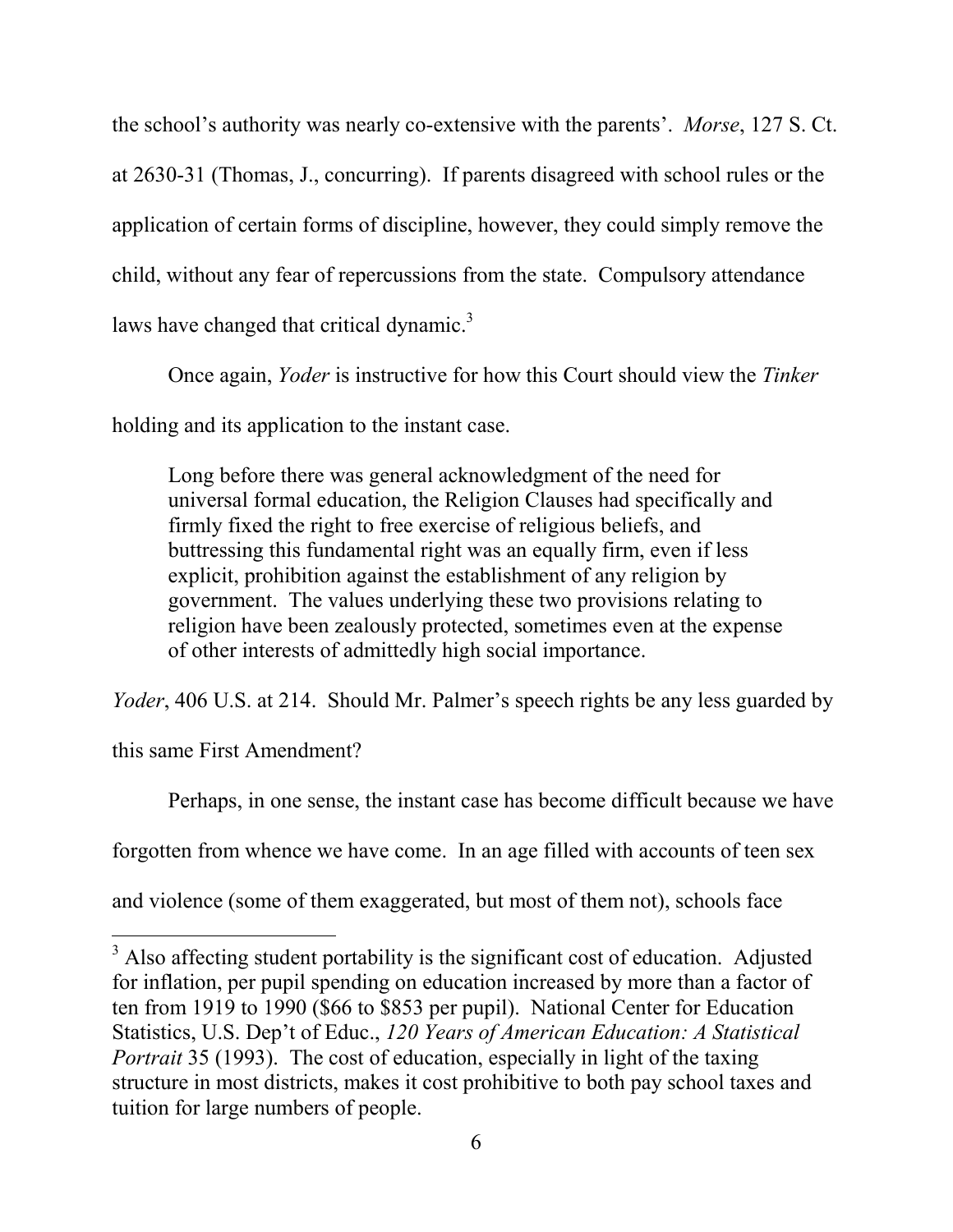the school's authority was nearly co-extensive with the parents'. *Morse*, 127 S. Ct. at 2630-31 (Thomas, J., concurring). If parents disagreed with school rules or the application of certain forms of discipline, however, they could simply remove the child, without any fear of repercussions from the state. Compulsory attendance laws have changed that critical dynamic.<sup>3</sup>

Once again, *Yoder* is instructive for how this Court should view the *Tinker* holding and its application to the instant case.

Long before there was general acknowledgment of the need for universal formal education, the Religion Clauses had specifically and firmly fixed the right to free exercise of religious beliefs, and buttressing this fundamental right was an equally firm, even if less explicit, prohibition against the establishment of any religion by government. The values underlying these two provisions relating to religion have been zealously protected, sometimes even at the expense of other interests of admittedly high social importance.

*Yoder*, 406 U.S. at 214. Should Mr. Palmer's speech rights be any less guarded by

this same First Amendment?

<u>.</u>

Perhaps, in one sense, the instant case has become difficult because we have

forgotten from whence we have come. In an age filled with accounts of teen sex

and violence (some of them exaggerated, but most of them not), schools face

 $3$  Also affecting student portability is the significant cost of education. Adjusted for inflation, per pupil spending on education increased by more than a factor of ten from 1919 to 1990 (\$66 to \$853 per pupil). National Center for Education Statistics, U.S. Dep't of Educ., *120 Years of American Education: A Statistical Portrait* 35 (1993). The cost of education, especially in light of the taxing structure in most districts, makes it cost prohibitive to both pay school taxes and tuition for large numbers of people.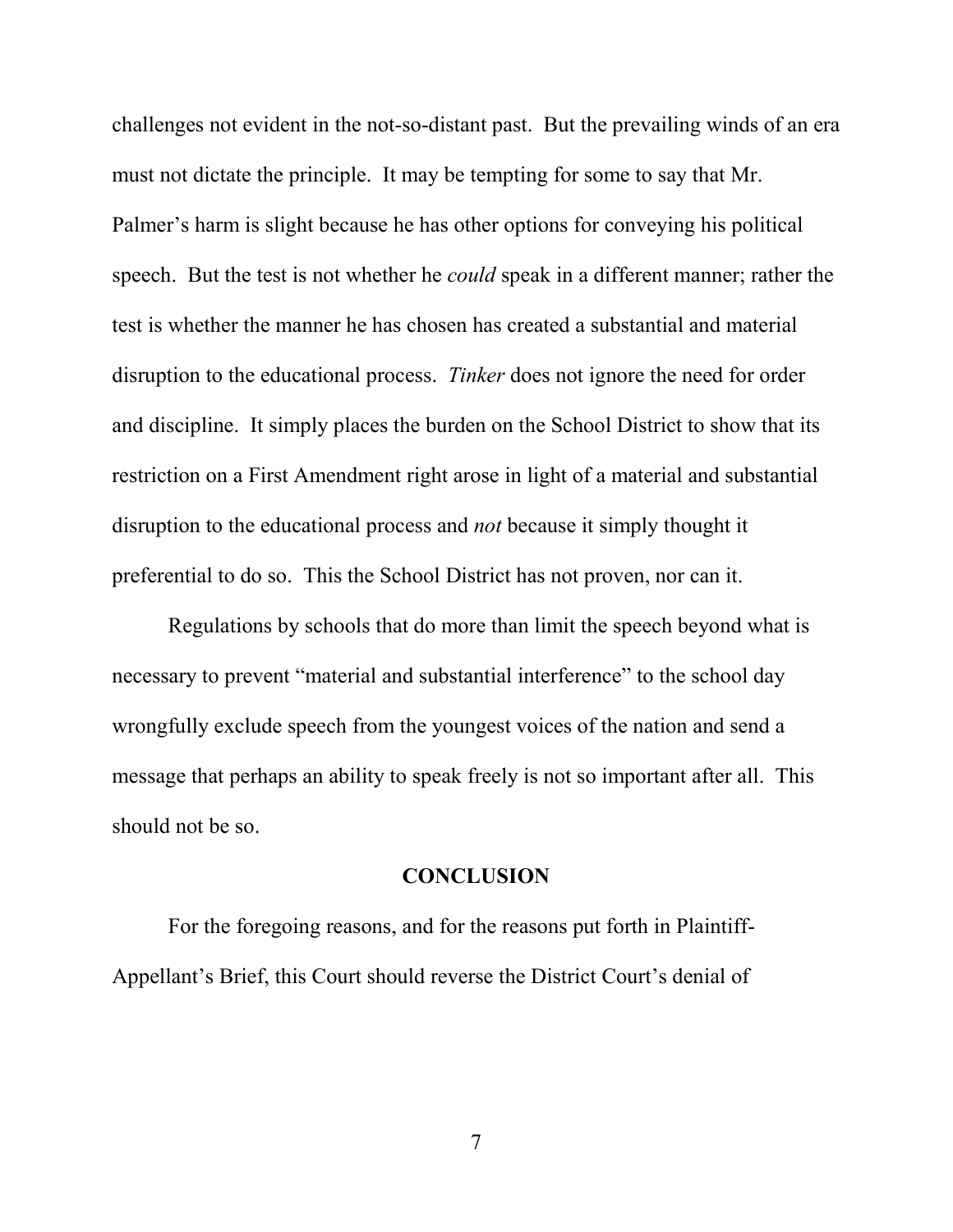challenges not evident in the not-so-distant past. But the prevailing winds of an era must not dictate the principle. It may be tempting for some to say that Mr. Palmer's harm is slight because he has other options for conveying his political speech. But the test is not whether he *could* speak in a different manner; rather the test is whether the manner he has chosen has created a substantial and material disruption to the educational process. *Tinker* does not ignore the need for order and discipline. It simply places the burden on the School District to show that its restriction on a First Amendment right arose in light of a material and substantial disruption to the educational process and *not* because it simply thought it preferential to do so. This the School District has not proven, nor can it.

Regulations by schools that do more than limit the speech beyond what is necessary to prevent "material and substantial interference" to the school day wrongfully exclude speech from the youngest voices of the nation and send a message that perhaps an ability to speak freely is not so important after all. This should not be so.

### **CONCLUSION**

For the foregoing reasons, and for the reasons put forth in Plaintiff-Appellant's Brief, this Court should reverse the District Court's denial of

7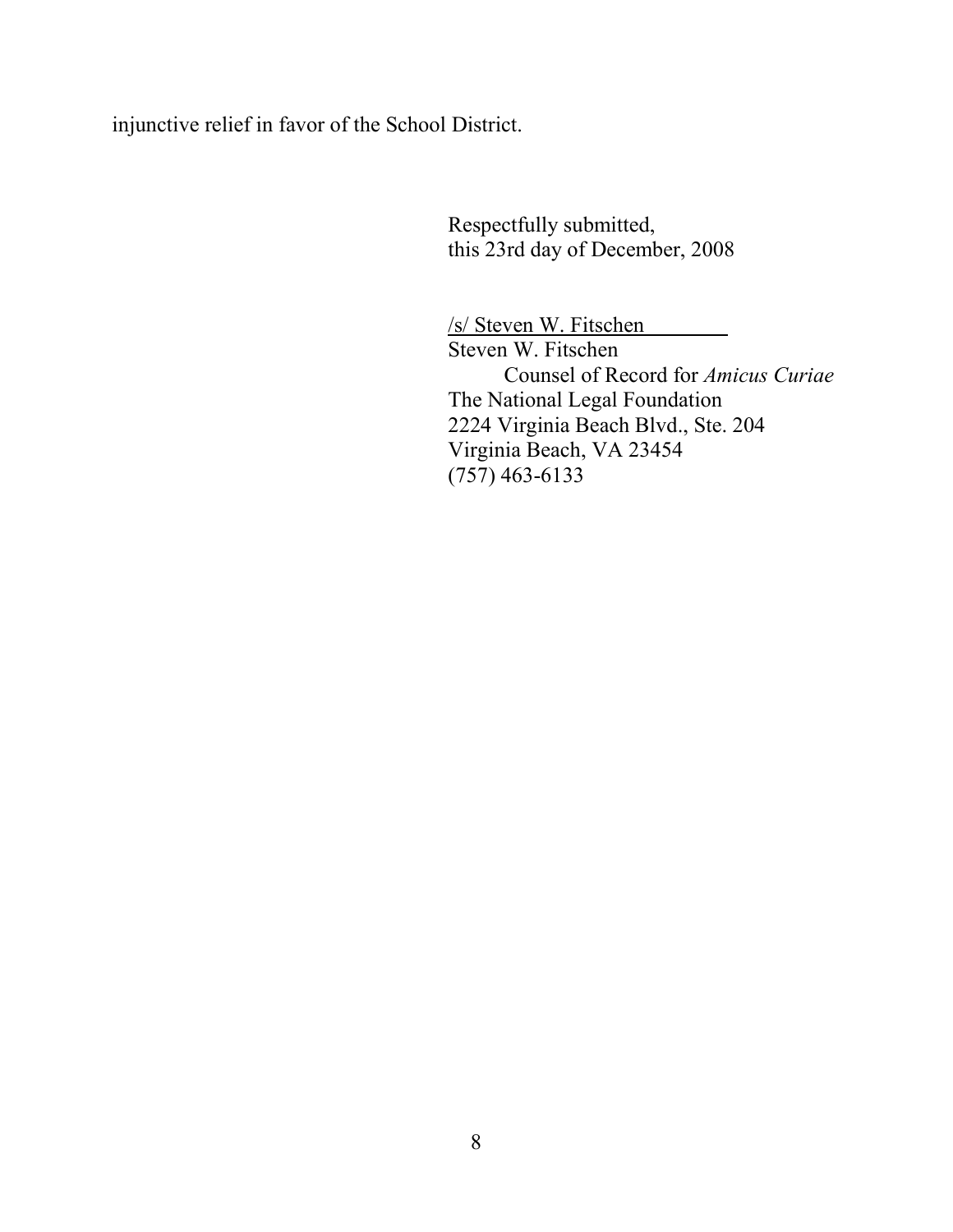injunctive relief in favor of the School District.

Respectfully submitted, this 23rd day of December, 2008

/s/ Steven W. Fitschen Steven W. Fitschen Counsel of Record for *Amicus Curiae* The National Legal Foundation 2224 Virginia Beach Blvd., Ste. 204 Virginia Beach, VA 23454 (757) 463-6133